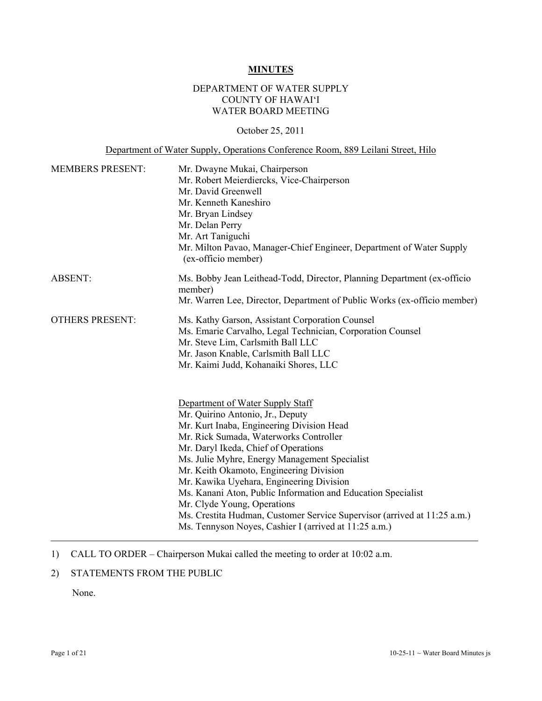# **MINUTES**

# DEPARTMENT OF WATER SUPPLY COUNTY OF HAWAI'I WATER BOARD MEETING

#### October 25, 2011

# Department of Water Supply, Operations Conference Room, 889 Leilani Street, Hilo

| <b>MEMBERS PRESENT:</b> | Mr. Dwayne Mukai, Chairperson                                                               |  |  |  |  |
|-------------------------|---------------------------------------------------------------------------------------------|--|--|--|--|
|                         | Mr. Robert Meierdiercks, Vice-Chairperson                                                   |  |  |  |  |
|                         | Mr. David Greenwell                                                                         |  |  |  |  |
|                         | Mr. Kenneth Kaneshiro                                                                       |  |  |  |  |
|                         | Mr. Bryan Lindsey                                                                           |  |  |  |  |
|                         | Mr. Delan Perry                                                                             |  |  |  |  |
|                         | Mr. Art Taniguchi                                                                           |  |  |  |  |
|                         | Mr. Milton Pavao, Manager-Chief Engineer, Department of Water Supply<br>(ex-officio member) |  |  |  |  |
| <b>ABSENT:</b>          | Ms. Bobby Jean Leithead-Todd, Director, Planning Department (ex-officio<br>member)          |  |  |  |  |
|                         | Mr. Warren Lee, Director, Department of Public Works (ex-officio member)                    |  |  |  |  |
| <b>OTHERS PRESENT:</b>  | Ms. Kathy Garson, Assistant Corporation Counsel                                             |  |  |  |  |
|                         | Ms. Emarie Carvalho, Legal Technician, Corporation Counsel                                  |  |  |  |  |
|                         | Mr. Steve Lim, Carlsmith Ball LLC                                                           |  |  |  |  |
|                         | Mr. Jason Knable, Carlsmith Ball LLC                                                        |  |  |  |  |
|                         | Mr. Kaimi Judd, Kohanaiki Shores, LLC                                                       |  |  |  |  |
|                         |                                                                                             |  |  |  |  |
|                         | Department of Water Supply Staff                                                            |  |  |  |  |
|                         | Mr. Quirino Antonio, Jr., Deputy                                                            |  |  |  |  |
|                         | Mr. Kurt Inaba, Engineering Division Head                                                   |  |  |  |  |
|                         | Mr. Rick Sumada, Waterworks Controller                                                      |  |  |  |  |
|                         | Mr. Daryl Ikeda, Chief of Operations                                                        |  |  |  |  |
|                         | Ms. Julie Myhre, Energy Management Specialist                                               |  |  |  |  |
|                         | Mr. Keith Okamoto, Engineering Division                                                     |  |  |  |  |
|                         | Mr. Kawika Uyehara, Engineering Division                                                    |  |  |  |  |
|                         | Ms. Kanani Aton, Public Information and Education Specialist                                |  |  |  |  |
|                         | Mr. Clyde Young, Operations                                                                 |  |  |  |  |
|                         | Ms. Crestita Hudman, Customer Service Supervisor (arrived at 11:25 a.m.)                    |  |  |  |  |
|                         | Ms. Tennyson Noyes, Cashier I (arrived at 11:25 a.m.)                                       |  |  |  |  |

#### 1) CALL TO ORDER – Chairperson Mukai called the meeting to order at 10:02 a.m.

#### 2) STATEMENTS FROM THE PUBLIC

None.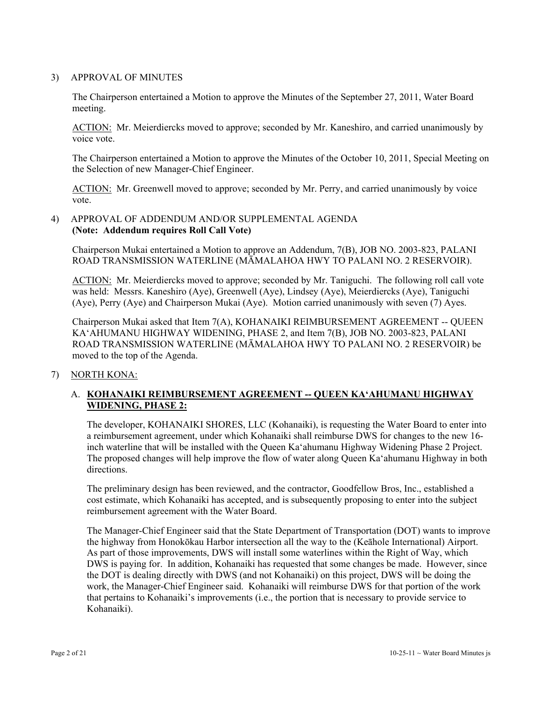#### 3) APPROVAL OF MINUTES

The Chairperson entertained a Motion to approve the Minutes of the September 27, 2011, Water Board meeting.

ACTION: Mr. Meierdiercks moved to approve; seconded by Mr. Kaneshiro, and carried unanimously by voice vote.

The Chairperson entertained a Motion to approve the Minutes of the October 10, 2011, Special Meeting on the Selection of new Manager-Chief Engineer.

ACTION: Mr. Greenwell moved to approve; seconded by Mr. Perry, and carried unanimously by voice vote.

#### 4) APPROVAL OF ADDENDUM AND/OR SUPPLEMENTAL AGENDA **(Note: Addendum requires Roll Call Vote)**

Chairperson Mukai entertained a Motion to approve an Addendum, 7(B), JOB NO. 2003-823, PALANI ROAD TRANSMISSION WATERLINE (MĀMALAHOA HWY TO PALANI NO. 2 RESERVOIR).

ACTION: Mr. Meierdiercks moved to approve; seconded by Mr. Taniguchi. The following roll call vote was held: Messrs. Kaneshiro (Aye), Greenwell (Aye), Lindsey (Aye), Meierdiercks (Aye), Taniguchi (Aye), Perry (Aye) and Chairperson Mukai (Aye). Motion carried unanimously with seven (7) Ayes.

Chairperson Mukai asked that Item 7(A), KOHANAIKI REIMBURSEMENT AGREEMENT -- QUEEN KA'AHUMANU HIGHWAY WIDENING, PHASE 2, and Item 7(B), JOB NO. 2003-823, PALANI ROAD TRANSMISSION WATERLINE (MĀMALAHOA HWY TO PALANI NO. 2 RESERVOIR) be moved to the top of the Agenda.

7) NORTH KONA:

# A. **KOHANAIKI REIMBURSEMENT AGREEMENT -- QUEEN KA'AHUMANU HIGHWAY WIDENING, PHASE 2:**

The developer, KOHANAIKI SHORES, LLC (Kohanaiki), is requesting the Water Board to enter into a reimbursement agreement, under which Kohanaiki shall reimburse DWS for changes to the new 16 inch waterline that will be installed with the Queen Ka'ahumanu Highway Widening Phase 2 Project. The proposed changes will help improve the flow of water along Queen Ka'ahumanu Highway in both directions.

The preliminary design has been reviewed, and the contractor, Goodfellow Bros, Inc., established a cost estimate, which Kohanaiki has accepted, and is subsequently proposing to enter into the subject reimbursement agreement with the Water Board.

The Manager-Chief Engineer said that the State Department of Transportation (DOT) wants to improve the highway from Honokōkau Harbor intersection all the way to the (Keāhole International) Airport. As part of those improvements, DWS will install some waterlines within the Right of Way, which DWS is paying for. In addition, Kohanaiki has requested that some changes be made. However, since the DOT is dealing directly with DWS (and not Kohanaiki) on this project, DWS will be doing the work, the Manager-Chief Engineer said. Kohanaiki will reimburse DWS for that portion of the work that pertains to Kohanaiki's improvements (i.e., the portion that is necessary to provide service to Kohanaiki).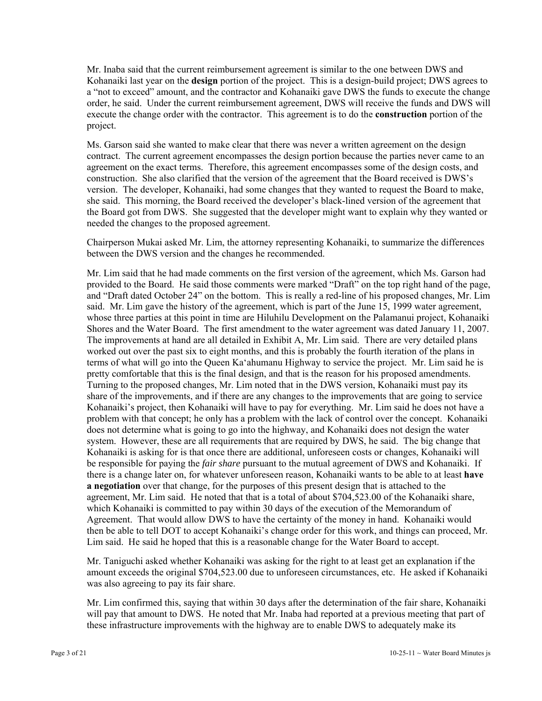Mr. Inaba said that the current reimbursement agreement is similar to the one between DWS and Kohanaiki last year on the **design** portion of the project. This is a design-build project; DWS agrees to a "not to exceed" amount, and the contractor and Kohanaiki gave DWS the funds to execute the change order, he said. Under the current reimbursement agreement, DWS will receive the funds and DWS will execute the change order with the contractor. This agreement is to do the **construction** portion of the project.

Ms. Garson said she wanted to make clear that there was never a written agreement on the design contract. The current agreement encompasses the design portion because the parties never came to an agreement on the exact terms. Therefore, this agreement encompasses some of the design costs, and construction. She also clarified that the version of the agreement that the Board received is DWS's version. The developer, Kohanaiki, had some changes that they wanted to request the Board to make, she said. This morning, the Board received the developer's black-lined version of the agreement that the Board got from DWS. She suggested that the developer might want to explain why they wanted or needed the changes to the proposed agreement.

Chairperson Mukai asked Mr. Lim, the attorney representing Kohanaiki, to summarize the differences between the DWS version and the changes he recommended.

Mr. Lim said that he had made comments on the first version of the agreement, which Ms. Garson had provided to the Board. He said those comments were marked "Draft" on the top right hand of the page, and "Draft dated October 24" on the bottom. This is really a red-line of his proposed changes, Mr. Lim said. Mr. Lim gave the history of the agreement, which is part of the June 15, 1999 water agreement, whose three parties at this point in time are Hiluhilu Development on the Palamanui project, Kohanaiki Shores and the Water Board. The first amendment to the water agreement was dated January 11, 2007. The improvements at hand are all detailed in Exhibit A, Mr. Lim said. There are very detailed plans worked out over the past six to eight months, and this is probably the fourth iteration of the plans in terms of what will go into the Queen Ka'ahumanu Highway to service the project. Mr. Lim said he is pretty comfortable that this is the final design, and that is the reason for his proposed amendments. Turning to the proposed changes, Mr. Lim noted that in the DWS version, Kohanaiki must pay its share of the improvements, and if there are any changes to the improvements that are going to service Kohanaiki's project, then Kohanaiki will have to pay for everything. Mr. Lim said he does not have a problem with that concept; he only has a problem with the lack of control over the concept. Kohanaiki does not determine what is going to go into the highway, and Kohanaiki does not design the water system. However, these are all requirements that are required by DWS, he said. The big change that Kohanaiki is asking for is that once there are additional, unforeseen costs or changes, Kohanaiki will be responsible for paying the *fair share* pursuant to the mutual agreement of DWS and Kohanaiki.If there is a change later on, for whatever unforeseen reason, Kohanaiki wants to be able to at least **have a negotiation** over that change, for the purposes of this present design that is attached to the agreement, Mr. Lim said. He noted that that is a total of about \$704,523.00 of the Kohanaiki share, which Kohanaiki is committed to pay within 30 days of the execution of the Memorandum of Agreement. That would allow DWS to have the certainty of the money in hand. Kohanaiki would then be able to tell DOT to accept Kohanaiki's change order for this work, and things can proceed, Mr. Lim said. He said he hoped that this is a reasonable change for the Water Board to accept.

Mr. Taniguchi asked whether Kohanaiki was asking for the right to at least get an explanation if the amount exceeds the original \$704,523.00 due to unforeseen circumstances, etc. He asked if Kohanaiki was also agreeing to pay its fair share.

Mr. Lim confirmed this, saying that within 30 days after the determination of the fair share, Kohanaiki will pay that amount to DWS. He noted that Mr. Inaba had reported at a previous meeting that part of these infrastructure improvements with the highway are to enable DWS to adequately make its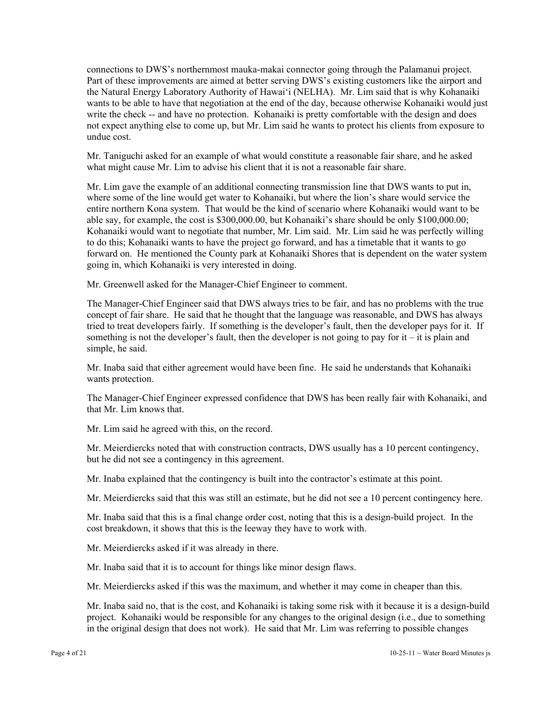connections to DWS's northernmost mauka-makai connector going through the Palamanui project. Part of these improvements are aimed at better serving DWS's existing customers like the airport and the Natural Energy Laboratory Authority of Hawai'i (NELHA). Mr. Lim said that is why Kohanaiki wants to be able to have that negotiation at the end of the day, because otherwise Kohanaiki would just write the check -- and have no protection. Kohanaiki is pretty comfortable with the design and does not expect anything else to come up, but Mr. Lim said he wants to protect his clients from exposure to undue cost.

Mr. Taniguchi asked for an example of what would constitute a reasonable fair share, and he asked what might cause Mr. Lim to advise his client that it is not a reasonable fair share.

Mr. Lim gave the example of an additional connecting transmission line that DWS wants to put in, where some of the line would get water to Kohanaiki, but where the lion's share would service the entire northern Kona system. That would be the kind of scenario where Kohanaiki would want to be able say, for example, the cost is \$300,000.00, but Kohanaiki's share should be only \$100,000.00; Kohanaiki would want to negotiate that number, Mr. Lim said. Mr. Lim said he was perfectly willing to do this; Kohanaiki wants to have the project go forward, and has a timetable that it wants to go forward on. He mentioned the County park at Kohanaiki Shores that is dependent on the water system going in, which Kohanaiki is very interested in doing.

Mr. Greenwell asked for the Manager-Chief Engineer to comment.

The Manager-Chief Engineer said that DWS always tries to be fair, and has no problems with the true concept of fair share. He said that he thought that the language was reasonable, and DWS has always tried to treat developers fairly. If something is the developer's fault, then the developer pays for it. If something is not the developer's fault, then the developer is not going to pay for  $it - it$  is plain and simple, he said.

Mr. Inaba said that either agreement would have been fine. He said he understands that Kohanaiki wants protection.

The Manager-Chief Engineer expressed confidence that DWS has been really fair with Kohanaiki, and that Mr. Lim knows that.

Mr. Lim said he agreed with this, on the record.

Mr. Meierdiercks noted that with construction contracts, DWS usually has a 10 percent contingency, but he did not see a contingency in this agreement.

Mr. Inaba explained that the contingency is built into the contractor's estimate at this point.

Mr. Meierdiercks said that this was still an estimate, but he did not see a 10 percent contingency here.

Mr. Inaba said that this is a final change order cost, noting that this is a design-build project. In the cost breakdown, it shows that this is the leeway they have to work with.

Mr. Meierdiercks asked if it was already in there.

Mr. Inaba said that it is to account for things like minor design flaws.

Mr. Meierdiercks asked if this was the maximum, and whether it may come in cheaper than this.

Mr. Inaba said no, that is the cost, and Kohanaiki is taking some risk with it because it is a design-build project. Kohanaiki would be responsible for any changes to the original design (i.e., due to something in the original design that does not work). He said that Mr. Lim was referring to possible changes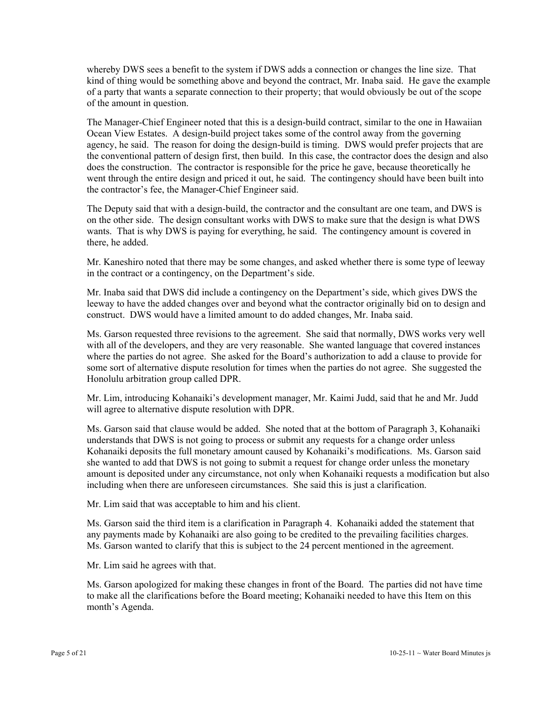whereby DWS sees a benefit to the system if DWS adds a connection or changes the line size. That kind of thing would be something above and beyond the contract, Mr. Inaba said. He gave the example of a party that wants a separate connection to their property; that would obviously be out of the scope of the amount in question.

The Manager-Chief Engineer noted that this is a design-build contract, similar to the one in Hawaiian Ocean View Estates. A design-build project takes some of the control away from the governing agency, he said. The reason for doing the design-build is timing. DWS would prefer projects that are the conventional pattern of design first, then build. In this case, the contractor does the design and also does the construction. The contractor is responsible for the price he gave, because theoretically he went through the entire design and priced it out, he said. The contingency should have been built into the contractor's fee, the Manager-Chief Engineer said.

The Deputy said that with a design-build, the contractor and the consultant are one team, and DWS is on the other side. The design consultant works with DWS to make sure that the design is what DWS wants. That is why DWS is paying for everything, he said. The contingency amount is covered in there, he added.

Mr. Kaneshiro noted that there may be some changes, and asked whether there is some type of leeway in the contract or a contingency, on the Department's side.

Mr. Inaba said that DWS did include a contingency on the Department's side, which gives DWS the leeway to have the added changes over and beyond what the contractor originally bid on to design and construct. DWS would have a limited amount to do added changes, Mr. Inaba said.

Ms. Garson requested three revisions to the agreement. She said that normally, DWS works very well with all of the developers, and they are very reasonable. She wanted language that covered instances where the parties do not agree. She asked for the Board's authorization to add a clause to provide for some sort of alternative dispute resolution for times when the parties do not agree. She suggested the Honolulu arbitration group called DPR.

Mr. Lim, introducing Kohanaiki's development manager, Mr. Kaimi Judd, said that he and Mr. Judd will agree to alternative dispute resolution with DPR.

Ms. Garson said that clause would be added. She noted that at the bottom of Paragraph 3, Kohanaiki understands that DWS is not going to process or submit any requests for a change order unless Kohanaiki deposits the full monetary amount caused by Kohanaiki's modifications. Ms. Garson said she wanted to add that DWS is not going to submit a request for change order unless the monetary amount is deposited under any circumstance, not only when Kohanaiki requests a modification but also including when there are unforeseen circumstances. She said this is just a clarification.

Mr. Lim said that was acceptable to him and his client.

Ms. Garson said the third item is a clarification in Paragraph 4. Kohanaiki added the statement that any payments made by Kohanaiki are also going to be credited to the prevailing facilities charges. Ms. Garson wanted to clarify that this is subject to the 24 percent mentioned in the agreement.

Mr. Lim said he agrees with that.

Ms. Garson apologized for making these changes in front of the Board. The parties did not have time to make all the clarifications before the Board meeting; Kohanaiki needed to have this Item on this month's Agenda.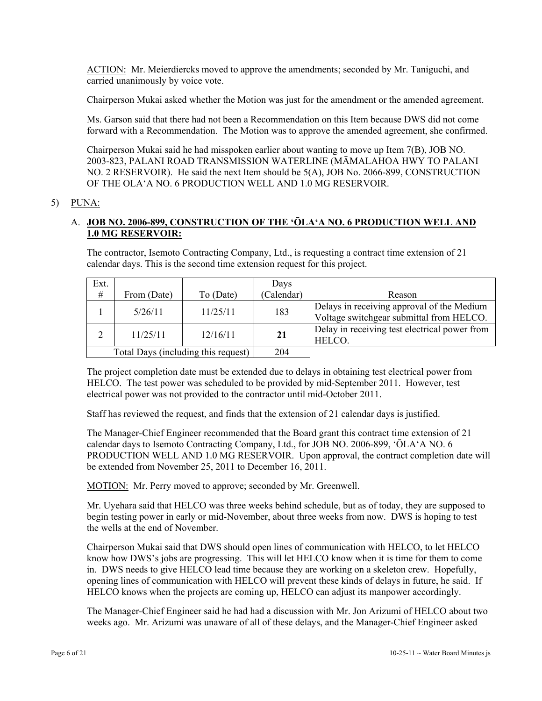ACTION: Mr. Meierdiercks moved to approve the amendments; seconded by Mr. Taniguchi, and carried unanimously by voice vote.

Chairperson Mukai asked whether the Motion was just for the amendment or the amended agreement.

Ms. Garson said that there had not been a Recommendation on this Item because DWS did not come forward with a Recommendation. The Motion was to approve the amended agreement, she confirmed.

Chairperson Mukai said he had misspoken earlier about wanting to move up Item 7(B), JOB NO. 2003-823, PALANI ROAD TRANSMISSION WATERLINE (MĀMALAHOA HWY TO PALANI NO. 2 RESERVOIR). He said the next Item should be 5(A), JOB No. 2066-899, CONSTRUCTION OF THE OLA'A NO. 6 PRODUCTION WELL AND 1.0 MG RESERVOIR.

#### 5) PUNA:

#### A. **JOB NO. 2006-899, CONSTRUCTION OF THE 'ŌLA'A NO. 6 PRODUCTION WELL AND 1.0 MG RESERVOIR:**

The contractor, Isemoto Contracting Company, Ltd., is requesting a contract time extension of 21 calendar days. This is the second time extension request for this project.

| Ext.                                |             |           | Days       |                                                                                        |
|-------------------------------------|-------------|-----------|------------|----------------------------------------------------------------------------------------|
| $\#$                                | From (Date) | To (Date) | (Calendar) | Reason                                                                                 |
|                                     | 5/26/11     | 11/25/11  | 183        | Delays in receiving approval of the Medium<br>Voltage switchgear submittal from HELCO. |
| C                                   | 11/25/11    | 12/16/11  |            | Delay in receiving test electrical power from<br>HELCO.                                |
| Total Days (including this request) |             |           | 204        |                                                                                        |

The project completion date must be extended due to delays in obtaining test electrical power from HELCO. The test power was scheduled to be provided by mid-September 2011. However, test electrical power was not provided to the contractor until mid-October 2011.

Staff has reviewed the request, and finds that the extension of 21 calendar days is justified.

The Manager-Chief Engineer recommended that the Board grant this contract time extension of 21 calendar days to Isemoto Contracting Company, Ltd., for JOB NO. 2006-899, 'ŌLA'A NO. 6 PRODUCTION WELL AND 1.0 MG RESERVOIR. Upon approval, the contract completion date will be extended from November 25, 2011 to December 16, 2011.

MOTION: Mr. Perry moved to approve; seconded by Mr. Greenwell.

Mr. Uyehara said that HELCO was three weeks behind schedule, but as of today, they are supposed to begin testing power in early or mid-November, about three weeks from now. DWS is hoping to test the wells at the end of November.

Chairperson Mukai said that DWS should open lines of communication with HELCO, to let HELCO know how DWS's jobs are progressing. This will let HELCO know when it is time for them to come in. DWS needs to give HELCO lead time because they are working on a skeleton crew. Hopefully, opening lines of communication with HELCO will prevent these kinds of delays in future, he said. If HELCO knows when the projects are coming up, HELCO can adjust its manpower accordingly.

The Manager-Chief Engineer said he had had a discussion with Mr. Jon Arizumi of HELCO about two weeks ago. Mr. Arizumi was unaware of all of these delays, and the Manager-Chief Engineer asked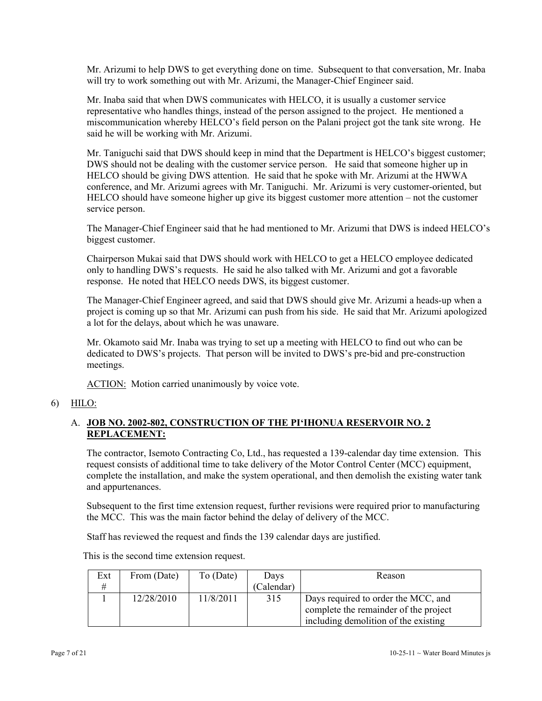Mr. Arizumi to help DWS to get everything done on time. Subsequent to that conversation, Mr. Inaba will try to work something out with Mr. Arizumi, the Manager-Chief Engineer said.

Mr. Inaba said that when DWS communicates with HELCO, it is usually a customer service representative who handles things, instead of the person assigned to the project. He mentioned a miscommunication whereby HELCO's field person on the Palani project got the tank site wrong. He said he will be working with Mr. Arizumi.

Mr. Taniguchi said that DWS should keep in mind that the Department is HELCO's biggest customer; DWS should not be dealing with the customer service person. He said that someone higher up in HELCO should be giving DWS attention. He said that he spoke with Mr. Arizumi at the HWWA conference, and Mr. Arizumi agrees with Mr. Taniguchi. Mr. Arizumi is very customer-oriented, but HELCO should have someone higher up give its biggest customer more attention – not the customer service person.

The Manager-Chief Engineer said that he had mentioned to Mr. Arizumi that DWS is indeed HELCO's biggest customer.

Chairperson Mukai said that DWS should work with HELCO to get a HELCO employee dedicated only to handling DWS's requests. He said he also talked with Mr. Arizumi and got a favorable response. He noted that HELCO needs DWS, its biggest customer.

The Manager-Chief Engineer agreed, and said that DWS should give Mr. Arizumi a heads-up when a project is coming up so that Mr. Arizumi can push from his side. He said that Mr. Arizumi apologized a lot for the delays, about which he was unaware.

Mr. Okamoto said Mr. Inaba was trying to set up a meeting with HELCO to find out who can be dedicated to DWS's projects. That person will be invited to DWS's pre-bid and pre-construction meetings.

ACTION: Motion carried unanimously by voice vote.

6) HILO:

# A. **JOB NO. 2002-802, CONSTRUCTION OF THE PI'IHONUA RESERVOIR NO. 2 REPLACEMENT:**

The contractor, Isemoto Contracting Co, Ltd., has requested a 139-calendar day time extension. This request consists of additional time to take delivery of the Motor Control Center (MCC) equipment, complete the installation, and make the system operational, and then demolish the existing water tank and appurtenances.

Subsequent to the first time extension request, further revisions were required prior to manufacturing the MCC. This was the main factor behind the delay of delivery of the MCC.

Staff has reviewed the request and finds the 139 calendar days are justified.

| Ext | From (Date) | To (Date) | Days       | Reason                                |  |
|-----|-------------|-----------|------------|---------------------------------------|--|
| #   |             |           | (Calendar) |                                       |  |
|     | 12/28/2010  | 11/8/2011 | 315        | Days required to order the MCC, and   |  |
|     |             |           |            | complete the remainder of the project |  |
|     |             |           |            | including demolition of the existing  |  |

This is the second time extension request.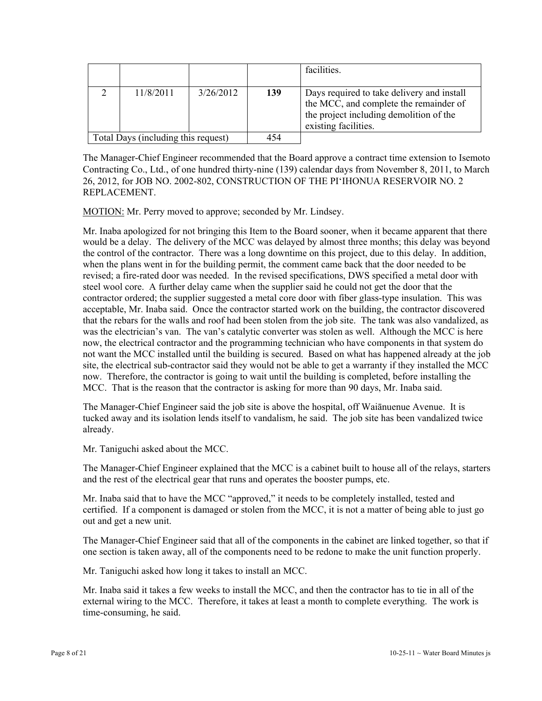|                                     |           |           |     | facilities.                                                                                                                                             |
|-------------------------------------|-----------|-----------|-----|---------------------------------------------------------------------------------------------------------------------------------------------------------|
|                                     | 11/8/2011 | 3/26/2012 | 139 | Days required to take delivery and install<br>the MCC, and complete the remainder of<br>the project including demolition of the<br>existing facilities. |
| Total Days (including this request) |           | 454       |     |                                                                                                                                                         |

The Manager-Chief Engineer recommended that the Board approve a contract time extension to Isemoto Contracting Co., Ltd., of one hundred thirty-nine (139) calendar days from November 8, 2011, to March 26, 2012, for JOB NO. 2002-802, CONSTRUCTION OF THE PI'IHONUA RESERVOIR NO. 2 REPLACEMENT.

MOTION: Mr. Perry moved to approve; seconded by Mr. Lindsey.

Mr. Inaba apologized for not bringing this Item to the Board sooner, when it became apparent that there would be a delay. The delivery of the MCC was delayed by almost three months; this delay was beyond the control of the contractor. There was a long downtime on this project, due to this delay. In addition, when the plans went in for the building permit, the comment came back that the door needed to be revised; a fire-rated door was needed. In the revised specifications, DWS specified a metal door with steel wool core. A further delay came when the supplier said he could not get the door that the contractor ordered; the supplier suggested a metal core door with fiber glass-type insulation. This was acceptable, Mr. Inaba said. Once the contractor started work on the building, the contractor discovered that the rebars for the walls and roof had been stolen from the job site. The tank was also vandalized, as was the electrician's van. The van's catalytic converter was stolen as well. Although the MCC is here now, the electrical contractor and the programming technician who have components in that system do not want the MCC installed until the building is secured. Based on what has happened already at the job site, the electrical sub-contractor said they would not be able to get a warranty if they installed the MCC now. Therefore, the contractor is going to wait until the building is completed, before installing the MCC. That is the reason that the contractor is asking for more than 90 days, Mr. Inaba said.

The Manager-Chief Engineer said the job site is above the hospital, off Waiānuenue Avenue. It is tucked away and its isolation lends itself to vandalism, he said. The job site has been vandalized twice already.

Mr. Taniguchi asked about the MCC.

The Manager-Chief Engineer explained that the MCC is a cabinet built to house all of the relays, starters and the rest of the electrical gear that runs and operates the booster pumps, etc.

Mr. Inaba said that to have the MCC "approved," it needs to be completely installed, tested and certified. If a component is damaged or stolen from the MCC, it is not a matter of being able to just go out and get a new unit.

The Manager-Chief Engineer said that all of the components in the cabinet are linked together, so that if one section is taken away, all of the components need to be redone to make the unit function properly.

Mr. Taniguchi asked how long it takes to install an MCC.

Mr. Inaba said it takes a few weeks to install the MCC, and then the contractor has to tie in all of the external wiring to the MCC. Therefore, it takes at least a month to complete everything. The work is time-consuming, he said.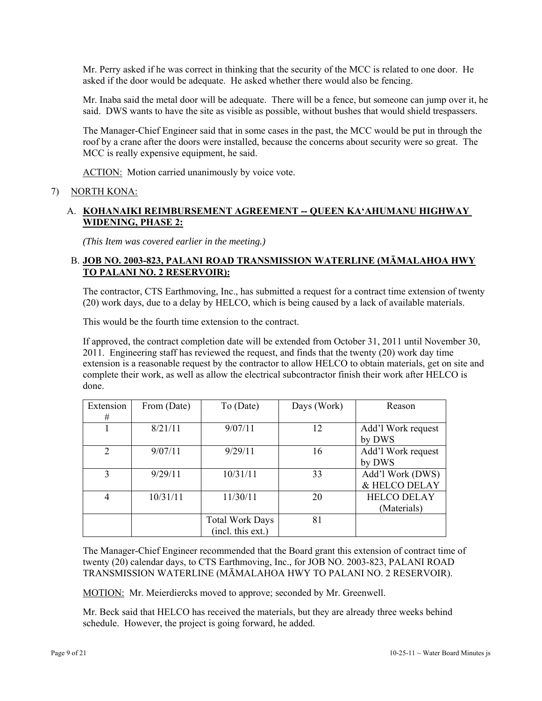Mr. Perry asked if he was correct in thinking that the security of the MCC is related to one door. He asked if the door would be adequate. He asked whether there would also be fencing.

Mr. Inaba said the metal door will be adequate. There will be a fence, but someone can jump over it, he said. DWS wants to have the site as visible as possible, without bushes that would shield trespassers.

The Manager-Chief Engineer said that in some cases in the past, the MCC would be put in through the roof by a crane after the doors were installed, because the concerns about security were so great. The MCC is really expensive equipment, he said.

ACTION: Motion carried unanimously by voice vote.

#### 7) NORTH KONA:

### A. **KOHANAIKI REIMBURSEMENT AGREEMENT -- QUEEN KA'AHUMANU HIGHWAY WIDENING, PHASE 2:**

*(This Item was covered earlier in the meeting.)* 

#### B. **JOB NO. 2003-823, PALANI ROAD TRANSMISSION WATERLINE (MĀMALAHOA HWY TO PALANI NO. 2 RESERVOIR):**

The contractor, CTS Earthmoving, Inc., has submitted a request for a contract time extension of twenty (20) work days, due to a delay by HELCO, which is being caused by a lack of available materials.

This would be the fourth time extension to the contract.

If approved, the contract completion date will be extended from October 31, 2011 until November 30, 2011. Engineering staff has reviewed the request, and finds that the twenty (20) work day time extension is a reasonable request by the contractor to allow HELCO to obtain materials, get on site and complete their work, as well as allow the electrical subcontractor finish their work after HELCO is done.

| Extension      | From (Date) | To (Date)              | Days (Work) | Reason             |
|----------------|-------------|------------------------|-------------|--------------------|
| #              |             |                        |             |                    |
|                | 8/21/11     | 9/07/11                | 12          | Add'l Work request |
|                |             |                        |             | by DWS             |
| 2              | 9/07/11     | 9/29/11                | 16          | Add'l Work request |
|                |             |                        |             | by DWS             |
| $\mathcal{E}$  | 9/29/11     | 10/31/11               | 33          | Add'l Work (DWS)   |
|                |             |                        |             | & HELCO DELAY      |
| $\overline{4}$ | 10/31/11    | 11/30/11               | 20          | <b>HELCO DELAY</b> |
|                |             |                        |             | (Materials)        |
|                |             | <b>Total Work Days</b> | 81          |                    |
|                |             | (incl. this ext.)      |             |                    |

The Manager-Chief Engineer recommended that the Board grant this extension of contract time of twenty (20) calendar days, to CTS Earthmoving, Inc., for JOB NO. 2003-823, PALANI ROAD TRANSMISSION WATERLINE (MĀMALAHOA HWY TO PALANI NO. 2 RESERVOIR).

MOTION: Mr. Meierdiercks moved to approve; seconded by Mr. Greenwell.

Mr. Beck said that HELCO has received the materials, but they are already three weeks behind schedule. However, the project is going forward, he added.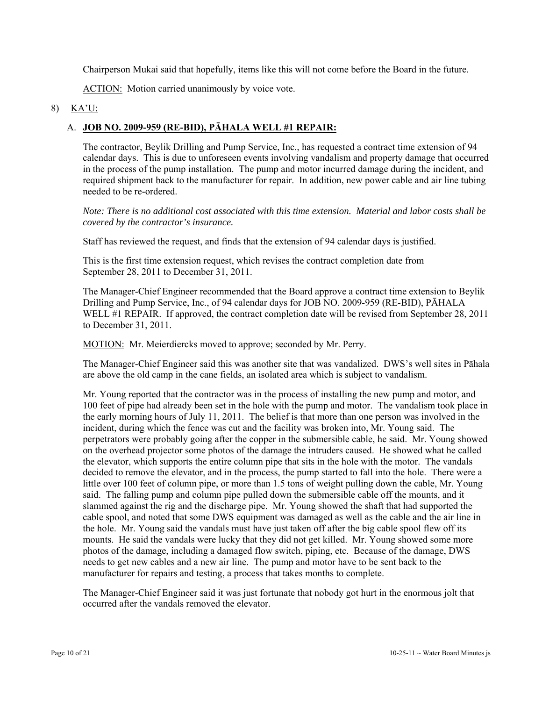Chairperson Mukai said that hopefully, items like this will not come before the Board in the future.

ACTION: Motion carried unanimously by voice vote.

#### 8) KA'U:

### A. **JOB NO. 2009-959 (RE-BID), PĀHALA WELL #1 REPAIR:**

The contractor, Beylik Drilling and Pump Service, Inc., has requested a contract time extension of 94 calendar days. This is due to unforeseen events involving vandalism and property damage that occurred in the process of the pump installation. The pump and motor incurred damage during the incident, and required shipment back to the manufacturer for repair. In addition, new power cable and air line tubing needed to be re-ordered.

*Note: There is no additional cost associated with this time extension. Material and labor costs shall be covered by the contractor's insurance.* 

Staff has reviewed the request, and finds that the extension of 94 calendar days is justified.

This is the first time extension request, which revises the contract completion date from September 28, 2011 to December 31, 2011.

The Manager-Chief Engineer recommended that the Board approve a contract time extension to Beylik Drilling and Pump Service, Inc., of 94 calendar days for JOB NO. 2009-959 (RE-BID), PĀHALA WELL #1 REPAIR. If approved, the contract completion date will be revised from September 28, 2011 to December 31, 2011.

MOTION: Mr. Meierdiercks moved to approve; seconded by Mr. Perry.

The Manager-Chief Engineer said this was another site that was vandalized. DWS's well sites in Pāhala are above the old camp in the cane fields, an isolated area which is subject to vandalism.

Mr. Young reported that the contractor was in the process of installing the new pump and motor, and 100 feet of pipe had already been set in the hole with the pump and motor. The vandalism took place in the early morning hours of July 11, 2011. The belief is that more than one person was involved in the incident, during which the fence was cut and the facility was broken into, Mr. Young said. The perpetrators were probably going after the copper in the submersible cable, he said. Mr. Young showed on the overhead projector some photos of the damage the intruders caused. He showed what he called the elevator, which supports the entire column pipe that sits in the hole with the motor. The vandals decided to remove the elevator, and in the process, the pump started to fall into the hole. There were a little over 100 feet of column pipe, or more than 1.5 tons of weight pulling down the cable, Mr. Young said. The falling pump and column pipe pulled down the submersible cable off the mounts, and it slammed against the rig and the discharge pipe. Mr. Young showed the shaft that had supported the cable spool, and noted that some DWS equipment was damaged as well as the cable and the air line in the hole. Mr. Young said the vandals must have just taken off after the big cable spool flew off its mounts. He said the vandals were lucky that they did not get killed. Mr. Young showed some more photos of the damage, including a damaged flow switch, piping, etc. Because of the damage, DWS needs to get new cables and a new air line. The pump and motor have to be sent back to the manufacturer for repairs and testing, a process that takes months to complete.

The Manager-Chief Engineer said it was just fortunate that nobody got hurt in the enormous jolt that occurred after the vandals removed the elevator.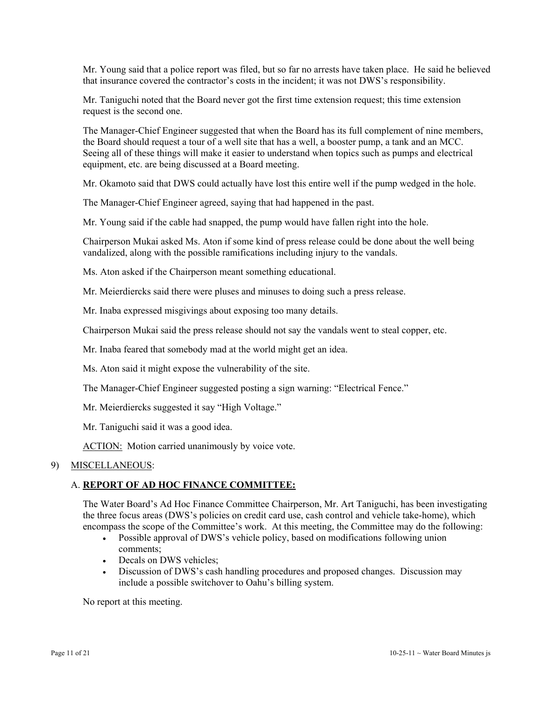Mr. Young said that a police report was filed, but so far no arrests have taken place. He said he believed that insurance covered the contractor's costs in the incident; it was not DWS's responsibility.

Mr. Taniguchi noted that the Board never got the first time extension request; this time extension request is the second one.

The Manager-Chief Engineer suggested that when the Board has its full complement of nine members, the Board should request a tour of a well site that has a well, a booster pump, a tank and an MCC. Seeing all of these things will make it easier to understand when topics such as pumps and electrical equipment, etc. are being discussed at a Board meeting.

Mr. Okamoto said that DWS could actually have lost this entire well if the pump wedged in the hole.

The Manager-Chief Engineer agreed, saying that had happened in the past.

Mr. Young said if the cable had snapped, the pump would have fallen right into the hole.

Chairperson Mukai asked Ms. Aton if some kind of press release could be done about the well being vandalized, along with the possible ramifications including injury to the vandals.

Ms. Aton asked if the Chairperson meant something educational.

Mr. Meierdiercks said there were pluses and minuses to doing such a press release.

Mr. Inaba expressed misgivings about exposing too many details.

Chairperson Mukai said the press release should not say the vandals went to steal copper, etc.

Mr. Inaba feared that somebody mad at the world might get an idea.

Ms. Aton said it might expose the vulnerability of the site.

The Manager-Chief Engineer suggested posting a sign warning: "Electrical Fence."

Mr. Meierdiercks suggested it say "High Voltage."

Mr. Taniguchi said it was a good idea.

ACTION: Motion carried unanimously by voice vote.

#### 9) MISCELLANEOUS:

#### A. **REPORT OF AD HOC FINANCE COMMITTEE:**

The Water Board's Ad Hoc Finance Committee Chairperson, Mr. Art Taniguchi, has been investigating the three focus areas (DWS's policies on credit card use, cash control and vehicle take-home), which encompass the scope of the Committee's work. At this meeting, the Committee may do the following:

- Possible approval of DWS's vehicle policy, based on modifications following union comments;
- Decals on DWS vehicles;
- Discussion of DWS's cash handling procedures and proposed changes. Discussion may include a possible switchover to Oahu's billing system.

No report at this meeting.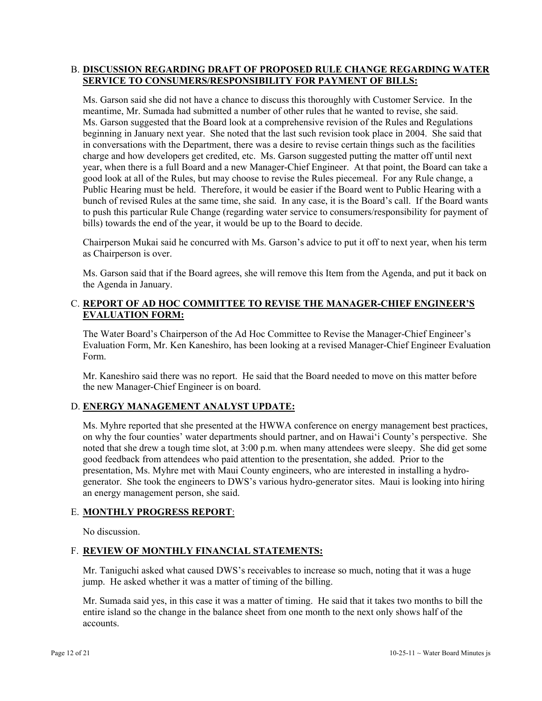#### B. **DISCUSSION REGARDING DRAFT OF PROPOSED RULE CHANGE REGARDING WATER SERVICE TO CONSUMERS/RESPONSIBILITY FOR PAYMENT OF BILLS:**

Ms. Garson said she did not have a chance to discuss this thoroughly with Customer Service. In the meantime, Mr. Sumada had submitted a number of other rules that he wanted to revise, she said. Ms. Garson suggested that the Board look at a comprehensive revision of the Rules and Regulations beginning in January next year. She noted that the last such revision took place in 2004. She said that in conversations with the Department, there was a desire to revise certain things such as the facilities charge and how developers get credited, etc. Ms. Garson suggested putting the matter off until next year, when there is a full Board and a new Manager-Chief Engineer. At that point, the Board can take a good look at all of the Rules, but may choose to revise the Rules piecemeal. For any Rule change, a Public Hearing must be held. Therefore, it would be easier if the Board went to Public Hearing with a bunch of revised Rules at the same time, she said. In any case, it is the Board's call. If the Board wants to push this particular Rule Change (regarding water service to consumers/responsibility for payment of bills) towards the end of the year, it would be up to the Board to decide.

Chairperson Mukai said he concurred with Ms. Garson's advice to put it off to next year, when his term as Chairperson is over.

Ms. Garson said that if the Board agrees, she will remove this Item from the Agenda, and put it back on the Agenda in January.

# C. **REPORT OF AD HOC COMMITTEE TO REVISE THE MANAGER-CHIEF ENGINEER'S EVALUATION FORM:**

The Water Board's Chairperson of the Ad Hoc Committee to Revise the Manager-Chief Engineer's Evaluation Form, Mr. Ken Kaneshiro, has been looking at a revised Manager-Chief Engineer Evaluation Form.

Mr. Kaneshiro said there was no report. He said that the Board needed to move on this matter before the new Manager-Chief Engineer is on board.

#### D. **ENERGY MANAGEMENT ANALYST UPDATE:**

Ms. Myhre reported that she presented at the HWWA conference on energy management best practices, on why the four counties' water departments should partner, and on Hawai'i County's perspective. She noted that she drew a tough time slot, at 3:00 p.m. when many attendees were sleepy. She did get some good feedback from attendees who paid attention to the presentation, she added. Prior to the presentation, Ms. Myhre met with Maui County engineers, who are interested in installing a hydrogenerator. She took the engineers to DWS's various hydro-generator sites. Maui is looking into hiring an energy management person, she said.

#### E. **MONTHLY PROGRESS REPORT**:

No discussion.

#### F. **REVIEW OF MONTHLY FINANCIAL STATEMENTS:**

Mr. Taniguchi asked what caused DWS's receivables to increase so much, noting that it was a huge jump. He asked whether it was a matter of timing of the billing.

Mr. Sumada said yes, in this case it was a matter of timing. He said that it takes two months to bill the entire island so the change in the balance sheet from one month to the next only shows half of the accounts.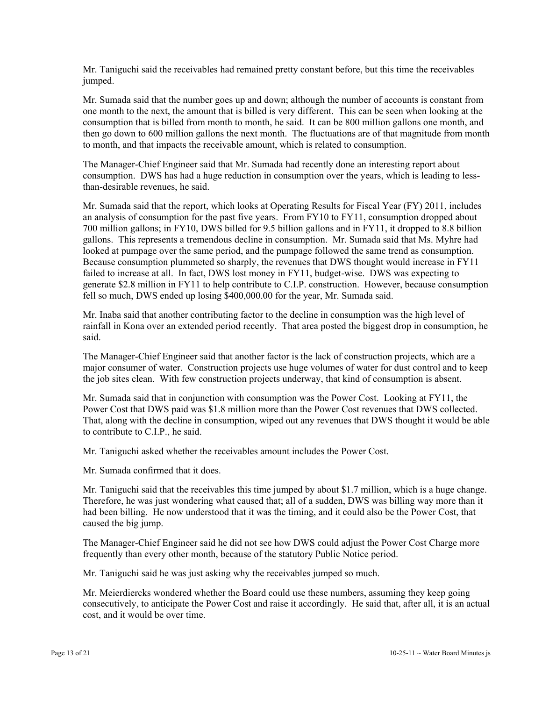Mr. Taniguchi said the receivables had remained pretty constant before, but this time the receivables jumped.

Mr. Sumada said that the number goes up and down; although the number of accounts is constant from one month to the next, the amount that is billed is very different. This can be seen when looking at the consumption that is billed from month to month, he said. It can be 800 million gallons one month, and then go down to 600 million gallons the next month. The fluctuations are of that magnitude from month to month, and that impacts the receivable amount, which is related to consumption.

The Manager-Chief Engineer said that Mr. Sumada had recently done an interesting report about consumption. DWS has had a huge reduction in consumption over the years, which is leading to lessthan-desirable revenues, he said.

Mr. Sumada said that the report, which looks at Operating Results for Fiscal Year (FY) 2011, includes an analysis of consumption for the past five years. From FY10 to FY11, consumption dropped about 700 million gallons; in FY10, DWS billed for 9.5 billion gallons and in FY11, it dropped to 8.8 billion gallons. This represents a tremendous decline in consumption. Mr. Sumada said that Ms. Myhre had looked at pumpage over the same period, and the pumpage followed the same trend as consumption. Because consumption plummeted so sharply, the revenues that DWS thought would increase in FY11 failed to increase at all. In fact, DWS lost money in FY11, budget-wise. DWS was expecting to generate \$2.8 million in FY11 to help contribute to C.I.P. construction. However, because consumption fell so much, DWS ended up losing \$400,000.00 for the year, Mr. Sumada said.

Mr. Inaba said that another contributing factor to the decline in consumption was the high level of rainfall in Kona over an extended period recently. That area posted the biggest drop in consumption, he said.

The Manager-Chief Engineer said that another factor is the lack of construction projects, which are a major consumer of water. Construction projects use huge volumes of water for dust control and to keep the job sites clean. With few construction projects underway, that kind of consumption is absent.

Mr. Sumada said that in conjunction with consumption was the Power Cost. Looking at FY11, the Power Cost that DWS paid was \$1.8 million more than the Power Cost revenues that DWS collected. That, along with the decline in consumption, wiped out any revenues that DWS thought it would be able to contribute to C.I.P., he said.

Mr. Taniguchi asked whether the receivables amount includes the Power Cost.

Mr. Sumada confirmed that it does.

Mr. Taniguchi said that the receivables this time jumped by about \$1.7 million, which is a huge change. Therefore, he was just wondering what caused that; all of a sudden, DWS was billing way more than it had been billing. He now understood that it was the timing, and it could also be the Power Cost, that caused the big jump.

The Manager-Chief Engineer said he did not see how DWS could adjust the Power Cost Charge more frequently than every other month, because of the statutory Public Notice period.

Mr. Taniguchi said he was just asking why the receivables jumped so much.

Mr. Meierdiercks wondered whether the Board could use these numbers, assuming they keep going consecutively, to anticipate the Power Cost and raise it accordingly. He said that, after all, it is an actual cost, and it would be over time.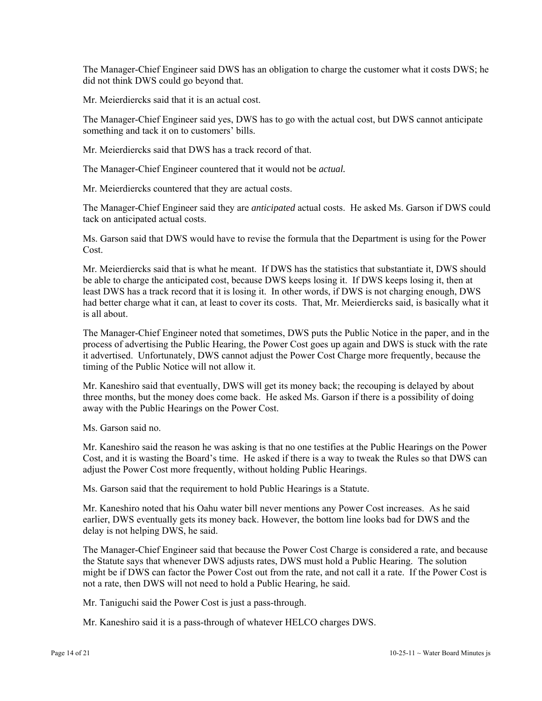The Manager-Chief Engineer said DWS has an obligation to charge the customer what it costs DWS; he did not think DWS could go beyond that.

Mr. Meierdiercks said that it is an actual cost.

The Manager-Chief Engineer said yes, DWS has to go with the actual cost, but DWS cannot anticipate something and tack it on to customers' bills.

Mr. Meierdiercks said that DWS has a track record of that.

The Manager-Chief Engineer countered that it would not be *actual.* 

Mr. Meierdiercks countered that they are actual costs.

The Manager-Chief Engineer said they are *anticipated* actual costs. He asked Ms. Garson if DWS could tack on anticipated actual costs.

Ms. Garson said that DWS would have to revise the formula that the Department is using for the Power Cost.

Mr. Meierdiercks said that is what he meant. If DWS has the statistics that substantiate it, DWS should be able to charge the anticipated cost, because DWS keeps losing it. If DWS keeps losing it, then at least DWS has a track record that it is losing it. In other words, if DWS is not charging enough, DWS had better charge what it can, at least to cover its costs. That, Mr. Meierdiercks said, is basically what it is all about.

The Manager-Chief Engineer noted that sometimes, DWS puts the Public Notice in the paper, and in the process of advertising the Public Hearing, the Power Cost goes up again and DWS is stuck with the rate it advertised. Unfortunately, DWS cannot adjust the Power Cost Charge more frequently, because the timing of the Public Notice will not allow it.

Mr. Kaneshiro said that eventually, DWS will get its money back; the recouping is delayed by about three months, but the money does come back. He asked Ms. Garson if there is a possibility of doing away with the Public Hearings on the Power Cost.

Ms. Garson said no.

Mr. Kaneshiro said the reason he was asking is that no one testifies at the Public Hearings on the Power Cost, and it is wasting the Board's time. He asked if there is a way to tweak the Rules so that DWS can adjust the Power Cost more frequently, without holding Public Hearings.

Ms. Garson said that the requirement to hold Public Hearings is a Statute.

Mr. Kaneshiro noted that his Oahu water bill never mentions any Power Cost increases. As he said earlier, DWS eventually gets its money back. However, the bottom line looks bad for DWS and the delay is not helping DWS, he said.

The Manager-Chief Engineer said that because the Power Cost Charge is considered a rate, and because the Statute says that whenever DWS adjusts rates, DWS must hold a Public Hearing. The solution might be if DWS can factor the Power Cost out from the rate, and not call it a rate. If the Power Cost is not a rate, then DWS will not need to hold a Public Hearing, he said.

Mr. Taniguchi said the Power Cost is just a pass-through.

Mr. Kaneshiro said it is a pass-through of whatever HELCO charges DWS.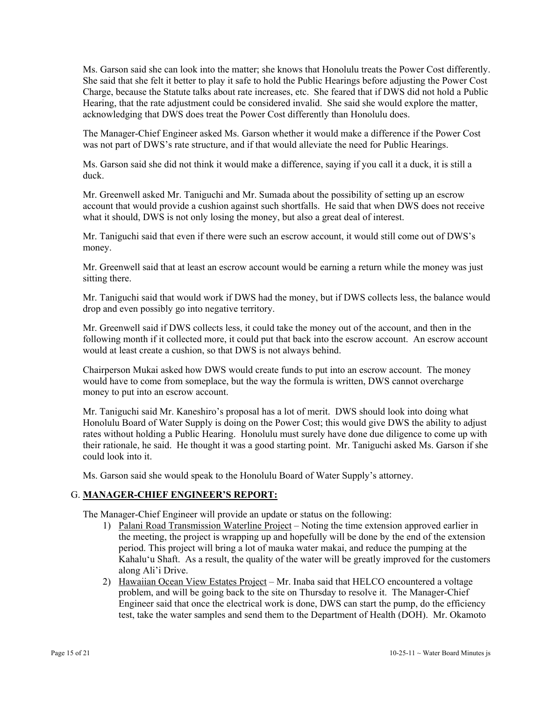Ms. Garson said she can look into the matter; she knows that Honolulu treats the Power Cost differently. She said that she felt it better to play it safe to hold the Public Hearings before adjusting the Power Cost Charge, because the Statute talks about rate increases, etc. She feared that if DWS did not hold a Public Hearing, that the rate adjustment could be considered invalid. She said she would explore the matter, acknowledging that DWS does treat the Power Cost differently than Honolulu does.

The Manager-Chief Engineer asked Ms. Garson whether it would make a difference if the Power Cost was not part of DWS's rate structure, and if that would alleviate the need for Public Hearings.

Ms. Garson said she did not think it would make a difference, saying if you call it a duck, it is still a duck.

Mr. Greenwell asked Mr. Taniguchi and Mr. Sumada about the possibility of setting up an escrow account that would provide a cushion against such shortfalls. He said that when DWS does not receive what it should, DWS is not only losing the money, but also a great deal of interest.

Mr. Taniguchi said that even if there were such an escrow account, it would still come out of DWS's money.

Mr. Greenwell said that at least an escrow account would be earning a return while the money was just sitting there.

Mr. Taniguchi said that would work if DWS had the money, but if DWS collects less, the balance would drop and even possibly go into negative territory.

Mr. Greenwell said if DWS collects less, it could take the money out of the account, and then in the following month if it collected more, it could put that back into the escrow account. An escrow account would at least create a cushion, so that DWS is not always behind.

Chairperson Mukai asked how DWS would create funds to put into an escrow account. The money would have to come from someplace, but the way the formula is written, DWS cannot overcharge money to put into an escrow account.

Mr. Taniguchi said Mr. Kaneshiro's proposal has a lot of merit. DWS should look into doing what Honolulu Board of Water Supply is doing on the Power Cost; this would give DWS the ability to adjust rates without holding a Public Hearing. Honolulu must surely have done due diligence to come up with their rationale, he said. He thought it was a good starting point. Mr. Taniguchi asked Ms. Garson if she could look into it.

Ms. Garson said she would speak to the Honolulu Board of Water Supply's attorney.

#### G. **MANAGER-CHIEF ENGINEER'S REPORT:**

The Manager-Chief Engineer will provide an update or status on the following:

- 1) Palani Road Transmission Waterline Project Noting the time extension approved earlier in the meeting, the project is wrapping up and hopefully will be done by the end of the extension period. This project will bring a lot of mauka water makai, and reduce the pumping at the Kahalu'u Shaft. As a result, the quality of the water will be greatly improved for the customers along Ali'i Drive.
- 2) Hawaiian Ocean View Estates Project Mr. Inaba said that HELCO encountered a voltage problem, and will be going back to the site on Thursday to resolve it. The Manager-Chief Engineer said that once the electrical work is done, DWS can start the pump, do the efficiency test, take the water samples and send them to the Department of Health (DOH). Mr. Okamoto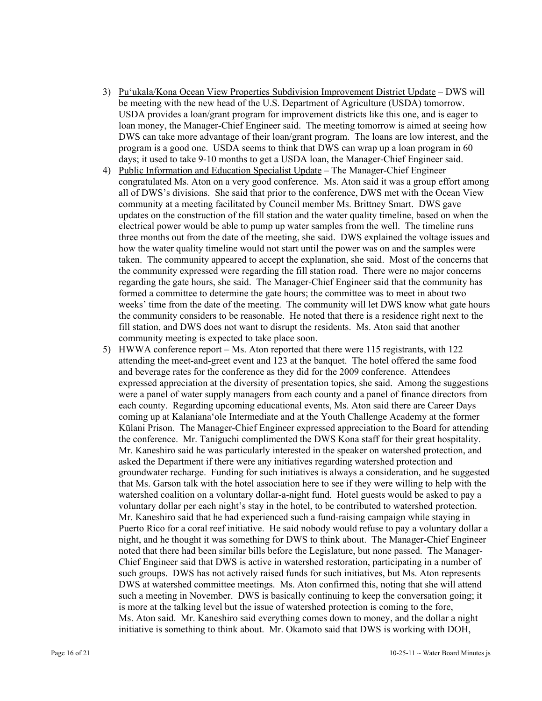- 3) Pu'ukala/Kona Ocean View Properties Subdivision Improvement District Update DWS will be meeting with the new head of the U.S. Department of Agriculture (USDA) tomorrow. USDA provides a loan/grant program for improvement districts like this one, and is eager to loan money, the Manager-Chief Engineer said. The meeting tomorrow is aimed at seeing how DWS can take more advantage of their loan/grant program. The loans are low interest, and the program is a good one. USDA seems to think that DWS can wrap up a loan program in 60 days; it used to take 9-10 months to get a USDA loan, the Manager-Chief Engineer said.
- 4) Public Information and Education Specialist Update The Manager-Chief Engineer congratulated Ms. Aton on a very good conference. Ms. Aton said it was a group effort among all of DWS's divisions. She said that prior to the conference, DWS met with the Ocean View community at a meeting facilitated by Council member Ms. Brittney Smart. DWS gave updates on the construction of the fill station and the water quality timeline, based on when the electrical power would be able to pump up water samples from the well. The timeline runs three months out from the date of the meeting, she said. DWS explained the voltage issues and how the water quality timeline would not start until the power was on and the samples were taken. The community appeared to accept the explanation, she said. Most of the concerns that the community expressed were regarding the fill station road. There were no major concerns regarding the gate hours, she said. The Manager-Chief Engineer said that the community has formed a committee to determine the gate hours; the committee was to meet in about two weeks' time from the date of the meeting. The community will let DWS know what gate hours the community considers to be reasonable. He noted that there is a residence right next to the fill station, and DWS does not want to disrupt the residents. Ms. Aton said that another community meeting is expected to take place soon.
- 5) HWWA conference report Ms. Aton reported that there were 115 registrants, with 122 attending the meet-and-greet event and 123 at the banquet. The hotel offered the same food and beverage rates for the conference as they did for the 2009 conference. Attendees expressed appreciation at the diversity of presentation topics, she said. Among the suggestions were a panel of water supply managers from each county and a panel of finance directors from each county. Regarding upcoming educational events, Ms. Aton said there are Career Days coming up at Kalaniana'ole Intermediate and at the Youth Challenge Academy at the former Kūlani Prison. The Manager-Chief Engineer expressed appreciation to the Board for attending the conference. Mr. Taniguchi complimented the DWS Kona staff for their great hospitality. Mr. Kaneshiro said he was particularly interested in the speaker on watershed protection, and asked the Department if there were any initiatives regarding watershed protection and groundwater recharge. Funding for such initiatives is always a consideration, and he suggested that Ms. Garson talk with the hotel association here to see if they were willing to help with the watershed coalition on a voluntary dollar-a-night fund. Hotel guests would be asked to pay a voluntary dollar per each night's stay in the hotel, to be contributed to watershed protection. Mr. Kaneshiro said that he had experienced such a fund-raising campaign while staying in Puerto Rico for a coral reef initiative. He said nobody would refuse to pay a voluntary dollar a night, and he thought it was something for DWS to think about. The Manager-Chief Engineer noted that there had been similar bills before the Legislature, but none passed. The Manager-Chief Engineer said that DWS is active in watershed restoration, participating in a number of such groups. DWS has not actively raised funds for such initiatives, but Ms. Aton represents DWS at watershed committee meetings. Ms. Aton confirmed this, noting that she will attend such a meeting in November. DWS is basically continuing to keep the conversation going; it is more at the talking level but the issue of watershed protection is coming to the fore, Ms. Aton said. Mr. Kaneshiro said everything comes down to money, and the dollar a night initiative is something to think about. Mr. Okamoto said that DWS is working with DOH,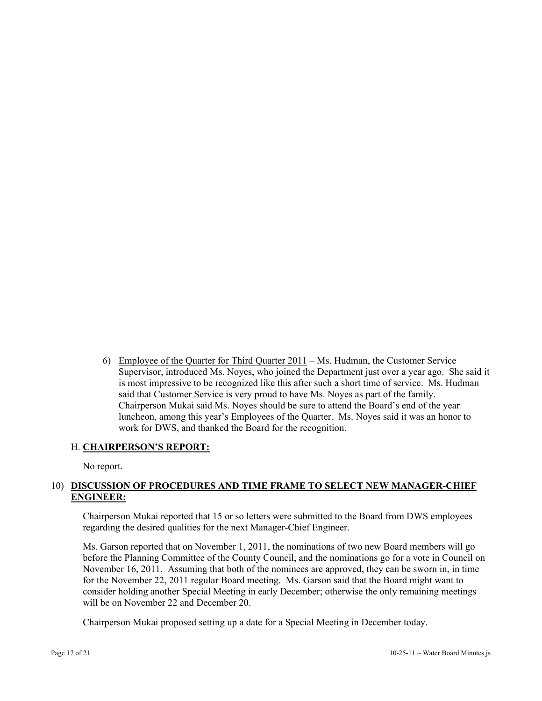6) Employee of the Quarter for Third Quarter 2011 – Ms. Hudman, the Customer Service Supervisor, introduced Ms. Noyes, who joined the Department just over a year ago. She said it is most impressive to be recognized like this after such a short time of service. Ms. Hudman said that Customer Service is very proud to have Ms. Noyes as part of the family. Chairperson Mukai said Ms. Noyes should be sure to attend the Board's end of the year luncheon, among this year's Employees of the Quarter. Ms. Noyes said it was an honor to work for DWS, and thanked the Board for the recognition.

#### H. **CHAIRPERSON'S REPORT:**

No report.

# 10) **DISCUSSION OF PROCEDURES AND TIME FRAME TO SELECT NEW MANAGER-CHIEF ENGINEER:**

Chairperson Mukai reported that 15 or so letters were submitted to the Board from DWS employees regarding the desired qualities for the next Manager-Chief Engineer.

Ms. Garson reported that on November 1, 2011, the nominations of two new Board members will go before the Planning Committee of the County Council, and the nominations go for a vote in Council on November 16, 2011. Assuming that both of the nominees are approved, they can be sworn in, in time for the November 22, 2011 regular Board meeting. Ms. Garson said that the Board might want to consider holding another Special Meeting in early December; otherwise the only remaining meetings will be on November 22 and December 20.

Chairperson Mukai proposed setting up a date for a Special Meeting in December today.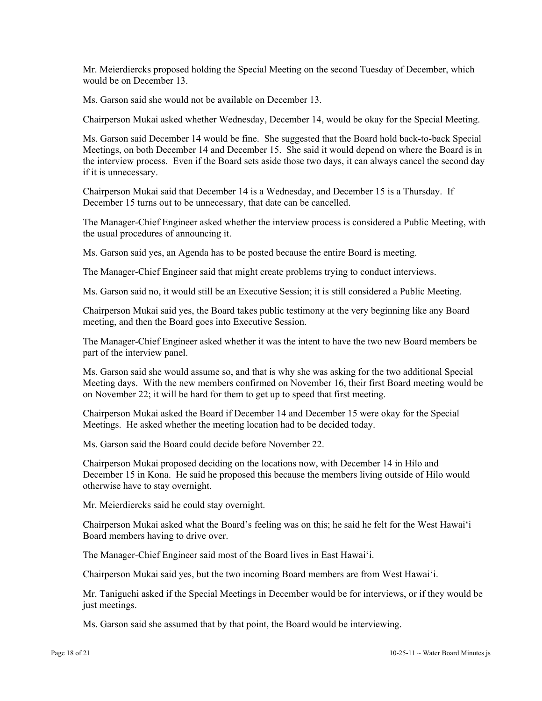Mr. Meierdiercks proposed holding the Special Meeting on the second Tuesday of December, which would be on December 13.

Ms. Garson said she would not be available on December 13.

Chairperson Mukai asked whether Wednesday, December 14, would be okay for the Special Meeting.

Ms. Garson said December 14 would be fine. She suggested that the Board hold back-to-back Special Meetings, on both December 14 and December 15. She said it would depend on where the Board is in the interview process. Even if the Board sets aside those two days, it can always cancel the second day if it is unnecessary.

Chairperson Mukai said that December 14 is a Wednesday, and December 15 is a Thursday. If December 15 turns out to be unnecessary, that date can be cancelled.

The Manager-Chief Engineer asked whether the interview process is considered a Public Meeting, with the usual procedures of announcing it.

Ms. Garson said yes, an Agenda has to be posted because the entire Board is meeting.

The Manager-Chief Engineer said that might create problems trying to conduct interviews.

Ms. Garson said no, it would still be an Executive Session; it is still considered a Public Meeting.

Chairperson Mukai said yes, the Board takes public testimony at the very beginning like any Board meeting, and then the Board goes into Executive Session.

The Manager-Chief Engineer asked whether it was the intent to have the two new Board members be part of the interview panel.

Ms. Garson said she would assume so, and that is why she was asking for the two additional Special Meeting days. With the new members confirmed on November 16, their first Board meeting would be on November 22; it will be hard for them to get up to speed that first meeting.

Chairperson Mukai asked the Board if December 14 and December 15 were okay for the Special Meetings. He asked whether the meeting location had to be decided today.

Ms. Garson said the Board could decide before November 22.

Chairperson Mukai proposed deciding on the locations now, with December 14 in Hilo and December 15 in Kona. He said he proposed this because the members living outside of Hilo would otherwise have to stay overnight.

Mr. Meierdiercks said he could stay overnight.

Chairperson Mukai asked what the Board's feeling was on this; he said he felt for the West Hawai'i Board members having to drive over.

The Manager-Chief Engineer said most of the Board lives in East Hawai'i.

Chairperson Mukai said yes, but the two incoming Board members are from West Hawai'i.

Mr. Taniguchi asked if the Special Meetings in December would be for interviews, or if they would be just meetings.

Ms. Garson said she assumed that by that point, the Board would be interviewing.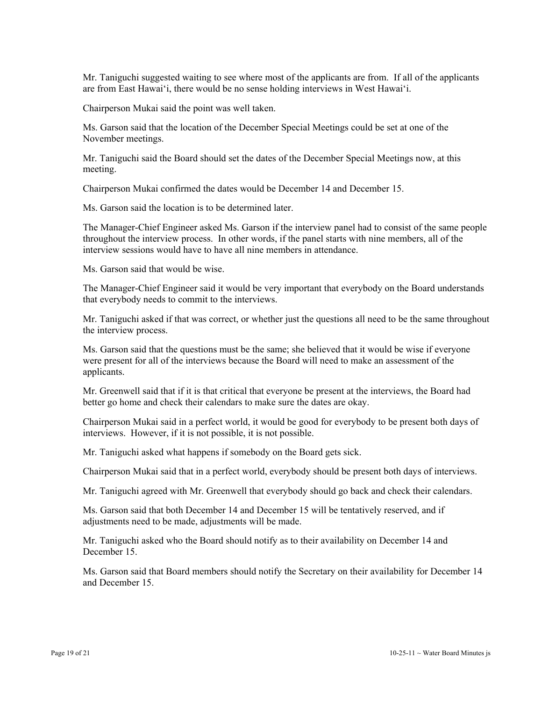Mr. Taniguchi suggested waiting to see where most of the applicants are from. If all of the applicants are from East Hawai'i, there would be no sense holding interviews in West Hawai'i.

Chairperson Mukai said the point was well taken.

Ms. Garson said that the location of the December Special Meetings could be set at one of the November meetings.

Mr. Taniguchi said the Board should set the dates of the December Special Meetings now, at this meeting.

Chairperson Mukai confirmed the dates would be December 14 and December 15.

Ms. Garson said the location is to be determined later.

The Manager-Chief Engineer asked Ms. Garson if the interview panel had to consist of the same people throughout the interview process. In other words, if the panel starts with nine members, all of the interview sessions would have to have all nine members in attendance.

Ms. Garson said that would be wise.

The Manager-Chief Engineer said it would be very important that everybody on the Board understands that everybody needs to commit to the interviews.

Mr. Taniguchi asked if that was correct, or whether just the questions all need to be the same throughout the interview process.

Ms. Garson said that the questions must be the same; she believed that it would be wise if everyone were present for all of the interviews because the Board will need to make an assessment of the applicants.

Mr. Greenwell said that if it is that critical that everyone be present at the interviews, the Board had better go home and check their calendars to make sure the dates are okay.

Chairperson Mukai said in a perfect world, it would be good for everybody to be present both days of interviews. However, if it is not possible, it is not possible.

Mr. Taniguchi asked what happens if somebody on the Board gets sick.

Chairperson Mukai said that in a perfect world, everybody should be present both days of interviews.

Mr. Taniguchi agreed with Mr. Greenwell that everybody should go back and check their calendars.

Ms. Garson said that both December 14 and December 15 will be tentatively reserved, and if adjustments need to be made, adjustments will be made.

Mr. Taniguchi asked who the Board should notify as to their availability on December 14 and December 15.

Ms. Garson said that Board members should notify the Secretary on their availability for December 14 and December 15.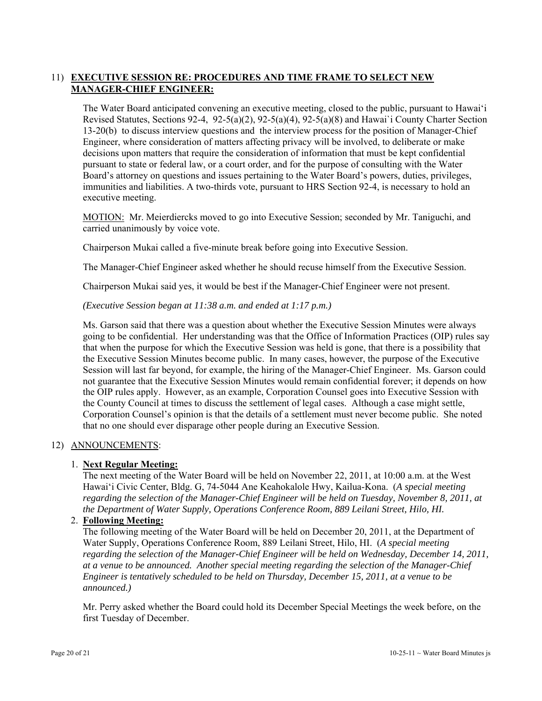# 11) **EXECUTIVE SESSION RE: PROCEDURES AND TIME FRAME TO SELECT NEW MANAGER-CHIEF ENGINEER:**

The Water Board anticipated convening an executive meeting, closed to the public, pursuant to Hawai'i Revised Statutes, Sections 92-4, 92-5(a)(2), 92-5(a)(4), 92-5(a)(8) and Hawai`i County Charter Section 13-20(b) to discuss interview questions and the interview process for the position of Manager-Chief Engineer, where consideration of matters affecting privacy will be involved, to deliberate or make decisions upon matters that require the consideration of information that must be kept confidential pursuant to state or federal law, or a court order, and for the purpose of consulting with the Water Board's attorney on questions and issues pertaining to the Water Board's powers, duties, privileges, immunities and liabilities. A two-thirds vote, pursuant to HRS Section 92-4, is necessary to hold an executive meeting.

MOTION: Mr. Meierdiercks moved to go into Executive Session; seconded by Mr. Taniguchi, and carried unanimously by voice vote.

Chairperson Mukai called a five-minute break before going into Executive Session.

The Manager-Chief Engineer asked whether he should recuse himself from the Executive Session.

Chairperson Mukai said yes, it would be best if the Manager-Chief Engineer were not present.

#### *(Executive Session began at 11:38 a.m. and ended at 1:17 p.m.)*

Ms. Garson said that there was a question about whether the Executive Session Minutes were always going to be confidential. Her understanding was that the Office of Information Practices (OIP) rules say that when the purpose for which the Executive Session was held is gone, that there is a possibility that the Executive Session Minutes become public. In many cases, however, the purpose of the Executive Session will last far beyond, for example, the hiring of the Manager-Chief Engineer. Ms. Garson could not guarantee that the Executive Session Minutes would remain confidential forever; it depends on how the OIP rules apply. However, as an example, Corporation Counsel goes into Executive Session with the County Council at times to discuss the settlement of legal cases. Although a case might settle, Corporation Counsel's opinion is that the details of a settlement must never become public. She noted that no one should ever disparage other people during an Executive Session.

#### 12) ANNOUNCEMENTS:

#### 1. **Next Regular Meeting:**

The next meeting of the Water Board will be held on November 22, 2011, at 10:00 a.m. at the West Hawai'i Civic Center, Bldg. G, 74-5044 Ane Keahokalole Hwy, Kailua-Kona. (*A special meeting regarding the selection of the Manager-Chief Engineer will be held on Tuesday, November 8, 2011, at the Department of Water Supply, Operations Conference Room, 889 Leilani Street, Hilo, HI.*

#### 2. **Following Meeting:**

The following meeting of the Water Board will be held on December 20, 2011, at the Department of Water Supply, Operations Conference Room, 889 Leilani Street, Hilo, HI. (*A special meeting regarding the selection of the Manager-Chief Engineer will be held on Wednesday, December 14, 2011, at a venue to be announced. Another special meeting regarding the selection of the Manager-Chief Engineer is tentatively scheduled to be held on Thursday, December 15, 2011, at a venue to be announced.)* 

Mr. Perry asked whether the Board could hold its December Special Meetings the week before, on the first Tuesday of December.